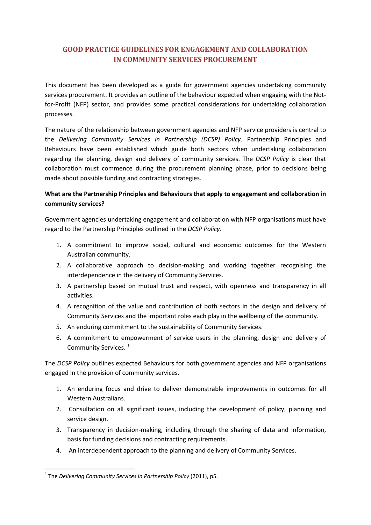# **GOOD PRACTICE GUIDELINES FOR ENGAGEMENT AND COLLABORATION IN COMMUNITY SERVICES PROCUREMENT**

This document has been developed as a guide for government agencies undertaking community services procurement. It provides an outline of the behaviour expected when engaging with the Notfor-Profit (NFP) sector, and provides some practical considerations for undertaking collaboration processes.

The nature of the relationship between government agencies and NFP service providers is central to the *Delivering Community Services in Partnership (DCSP) Policy*. Partnership Principles and Behaviours have been established which guide both sectors when undertaking collaboration regarding the planning, design and delivery of community services. The *DCSP Policy* is clear that collaboration must commence during the procurement planning phase, prior to decisions being made about possible funding and contracting strategies.

## **What are the Partnership Principles and Behaviours that apply to engagement and collaboration in community services?**

Government agencies undertaking engagement and collaboration with NFP organisations must have regard to the Partnership Principles outlined in the *DCSP Policy*.

- 1. A commitment to improve social, cultural and economic outcomes for the Western Australian community.
- 2. A collaborative approach to decision-making and working together recognising the interdependence in the delivery of Community Services.
- 3. A partnership based on mutual trust and respect, with openness and transparency in all activities.
- 4. A recognition of the value and contribution of both sectors in the design and delivery of Community Services and the important roles each play in the wellbeing of the community.
- 5. An enduring commitment to the sustainability of Community Services.
- 6. A commitment to empowerment of service users in the planning, design and delivery of Community Services.<sup>[1](#page-0-0)</sup>

The *DCSP Policy* outlines expected Behaviours for both government agencies and NFP organisations engaged in the provision of community services.

- 1. An enduring focus and drive to deliver demonstrable improvements in outcomes for all Western Australians.
- 2. Consultation on all significant issues, including the development of policy, planning and service design.
- 3. Transparency in decision-making, including through the sharing of data and information, basis for funding decisions and contracting requirements.
- 4. An interdependent approach to the planning and delivery of Community Services.

<span id="page-0-0"></span> <sup>1</sup> The *Delivering Community Services in Partnership Policy* (2011), p5.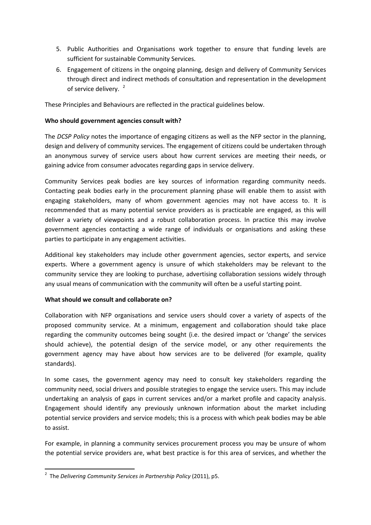- 5. Public Authorities and Organisations work together to ensure that funding levels are sufficient for sustainable Community Services.
- 6. Engagement of citizens in the ongoing planning, design and delivery of Community Services through direct and indirect methods of consultation and representation in the development of service delivery.<sup>[2](#page-0-0)</sup>

These Principles and Behaviours are reflected in the practical guidelines below.

## **Who should government agencies consult with?**

The *DCSP Policy* notes the importance of engaging citizens as well as the NFP sector in the planning, design and delivery of community services. The engagement of citizens could be undertaken through an anonymous survey of service users about how current services are meeting their needs, or gaining advice from consumer advocates regarding gaps in service delivery.

Community Services peak bodies are key sources of information regarding community needs. Contacting peak bodies early in the procurement planning phase will enable them to assist with engaging stakeholders, many of whom government agencies may not have access to. It is recommended that as many potential service providers as is practicable are engaged, as this will deliver a variety of viewpoints and a robust collaboration process. In practice this may involve government agencies contacting a wide range of individuals or organisations and asking these parties to participate in any engagement activities.

Additional key stakeholders may include other government agencies, sector experts, and service experts. Where a government agency is unsure of which stakeholders may be relevant to the community service they are looking to purchase, advertising collaboration sessions widely through any usual means of communication with the community will often be a useful starting point.

## **What should we consult and collaborate on?**

Collaboration with NFP organisations and service users should cover a variety of aspects of the proposed community service. At a minimum, engagement and collaboration should take place regarding the community outcomes being sought (i.e. the desired impact or 'change' the services should achieve), the potential design of the service model, or any other requirements the government agency may have about how services are to be delivered (for example, quality standards).

In some cases, the government agency may need to consult key stakeholders regarding the community need, social drivers and possible strategies to engage the service users. This may include undertaking an analysis of gaps in current services and/or a market profile and capacity analysis. Engagement should identify any previously unknown information about the market including potential service providers and service models; this is a process with which peak bodies may be able to assist.

For example, in planning a community services procurement process you may be unsure of whom the potential service providers are, what best practice is for this area of services, and whether the

 $\frac{1}{2}$ The *Delivering Community Services in Partnership Policy* (2011), p5.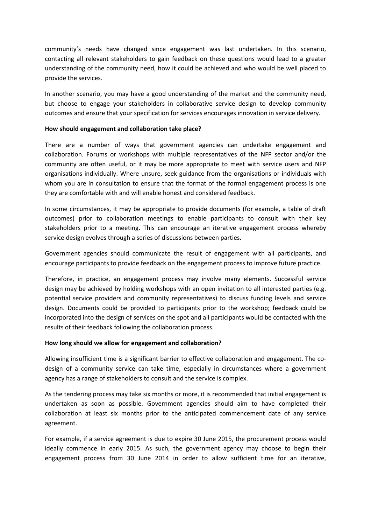community's needs have changed since engagement was last undertaken. In this scenario, contacting all relevant stakeholders to gain feedback on these questions would lead to a greater understanding of the community need, how it could be achieved and who would be well placed to provide the services.

In another scenario, you may have a good understanding of the market and the community need, but choose to engage your stakeholders in collaborative service design to develop community outcomes and ensure that your specification for services encourages innovation in service delivery.

#### **How should engagement and collaboration take place?**

There are a number of ways that government agencies can undertake engagement and collaboration. Forums or workshops with multiple representatives of the NFP sector and/or the community are often useful, or it may be more appropriate to meet with service users and NFP organisations individually. Where unsure, seek guidance from the organisations or individuals with whom you are in consultation to ensure that the format of the formal engagement process is one they are comfortable with and will enable honest and considered feedback.

In some circumstances, it may be appropriate to provide documents (for example, a table of draft outcomes) prior to collaboration meetings to enable participants to consult with their key stakeholders prior to a meeting. This can encourage an iterative engagement process whereby service design evolves through a series of discussions between parties.

Government agencies should communicate the result of engagement with all participants, and encourage participants to provide feedback on the engagement process to improve future practice.

Therefore, in practice, an engagement process may involve many elements. Successful service design may be achieved by holding workshops with an open invitation to all interested parties (e.g. potential service providers and community representatives) to discuss funding levels and service design. Documents could be provided to participants prior to the workshop; feedback could be incorporated into the design of services on the spot and all participants would be contacted with the results of their feedback following the collaboration process.

## **How long should we allow for engagement and collaboration?**

Allowing insufficient time is a significant barrier to effective collaboration and engagement. The codesign of a community service can take time, especially in circumstances where a government agency has a range of stakeholders to consult and the service is complex.

As the tendering process may take six months or more, it is recommended that initial engagement is undertaken as soon as possible. Government agencies should aim to have completed their collaboration at least six months prior to the anticipated commencement date of any service agreement.

For example, if a service agreement is due to expire 30 June 2015, the procurement process would ideally commence in early 2015. As such, the government agency may choose to begin their engagement process from 30 June 2014 in order to allow sufficient time for an iterative,